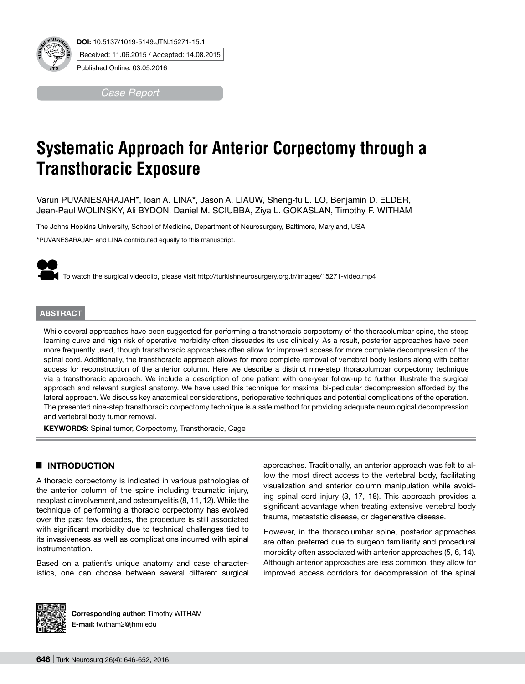

*Case Report*

# **Systematic Approach for Anterior Corpectomy through a Transthoracic Exposure**

Varun PUVANESARAJAH\*, Ioan A. LINA\*, Jason A. LIAUW, Sheng-fu L. LO, Benjamin D. ELDER, Jean-Paul WOLINSKY, Ali BYDON, Daniel M. SCIUBBA, Ziya L. GOKASLAN, Timothy F. WITHAM

The Johns Hopkins University, School of Medicine, Department of Neurosurgery, Baltimore, Maryland, USA

**\***PUVANESARAJAH and LINA contributed equally to this manuscript.

To watch the surgical videoclip, please visit http://turkishneurosurgery.org.tr/images/15271-video.mp4

#### **ABSTRACT**

While several approaches have been suggested for performing a transthoracic corpectomy of the thoracolumbar spine, the steep learning curve and high risk of operative morbidity often dissuades its use clinically. As a result, posterior approaches have been more frequently used, though transthoracic approaches often allow for improved access for more complete decompression of the spinal cord. Additionally, the transthoracic approach allows for more complete removal of vertebral body lesions along with better access for reconstruction of the anterior column. Here we describe a distinct nine-step thoracolumbar corpectomy technique via a transthoracic approach. We include a description of one patient with one-year follow-up to further illustrate the surgical approach and relevant surgical anatomy. We have used this technique for maximal bi-pedicular decompression afforded by the lateral approach. We discuss key anatomical considerations, perioperative techniques and potential complications of the operation. The presented nine-step transthoracic corpectomy technique is a safe method for providing adequate neurological decompression and vertebral body tumor removal.

**KEYWORDS:** Spinal tumor, Corpectomy, Transthoracic, Cage

## █ **INTRODUCTION**

A thoracic corpectomy is indicated in various pathologies of the anterior column of the spine including traumatic injury, neoplastic involvement,and osteomyelitis (8, 11, 12). While the technique of performing a thoracic corpectomy has evolved over the past few decades, the procedure is still associated with significant morbidity due to technical challenges tied to its invasiveness as well as complications incurred with spinal instrumentation.

Based on a patient's unique anatomy and case characteristics, one can choose between several different surgical approaches. Traditionally, an anterior approach was felt to allow the most direct access to the vertebral body, facilitating visualization and anterior column manipulation while avoiding spinal cord injury (3, 17, 18). This approach provides a significant advantage when treating extensive vertebral body trauma, metastatic disease, or degenerative disease.

However, in the thoracolumbar spine, posterior approaches are often preferred due to surgeon familiarity and procedural morbidity often associated with anterior approaches (5, 6, 14). Although anterior approaches are less common, they allow for improved access corridors for decompression of the spinal



**Corresponding author:** Timothy WITHAM **E-mail:** twitham2@jhmi.edu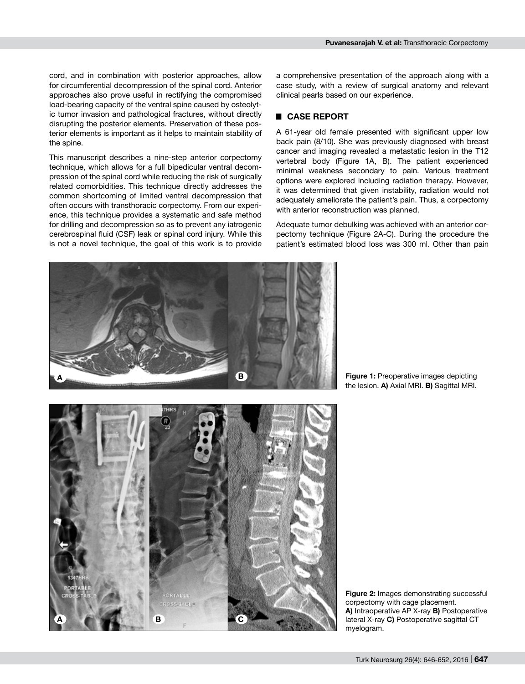cord, and in combination with posterior approaches, allow for circumferential decompression of the spinal cord. Anterior approaches also prove useful in rectifying the compromised load-bearing capacity of the ventral spine caused by osteolytic tumor invasion and pathological fractures, without directly disrupting the posterior elements. Preservation of these posterior elements is important as it helps to maintain stability of the spine.

This manuscript describes a nine-step anterior corpectomy technique, which allows for a full bipedicular ventral decompression of the spinal cord while reducing the risk of surgically related comorbidities. This technique directly addresses the common shortcoming of limited ventral decompression that often occurs with transthoracic corpectomy. From our experience, this technique provides a systematic and safe method for drilling and decompression so as to prevent any iatrogenic cerebrospinal fluid (CSF) leak or spinal cord injury. While this is not a novel technique, the goal of this work is to provide a comprehensive presentation of the approach along with a case study, with a review of surgical anatomy and relevant clinical pearls based on our experience.

# █ **CASE REPORT**

A 61-year old female presented with significant upper low back pain (8/10). She was previously diagnosed with breast cancer and imaging revealed a metastatic lesion in the T12 vertebral body (Figure 1A, B). The patient experienced minimal weakness secondary to pain. Various treatment options were explored including radiation therapy. However, it was determined that given instability, radiation would not adequately ameliorate the patient's pain. Thus, a corpectomy with anterior reconstruction was planned.

Adequate tumor debulking was achieved with an anterior corpectomy technique (Figure 2A-C). During the procedure the patient's estimated blood loss was 300 ml. Other than pain



**Figure 1:** Preoperative images depicting the lesion. **A)** Axial MRI. **B)** Sagittal MRI.

**Figure 2:** Images demonstrating successful corpectomy with cage placement. **A)** Intraoperative AP X-ray **B)** Postoperative lateral X-ray **C)** Postoperative sagittal CT myelogram.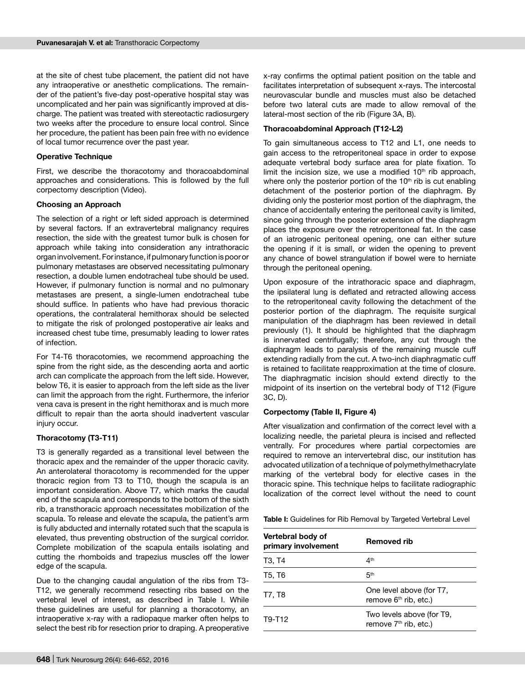at the site of chest tube placement, the patient did not have any intraoperative or anesthetic complications. The remainder of the patient's five-day post-operative hospital stay was uncomplicated and her pain was significantly improved at discharge. The patient was treated with stereotactic radiosurgery two weeks after the procedure to ensure local control. Since her procedure, the patient has been pain free with no evidence of local tumor recurrence over the past year.

#### **Operative Technique**

First, we describe the thoracotomy and thoracoabdominal approaches and considerations. This is followed by the full corpectomy description (Video).

#### **Choosing an Approach**

The selection of a right or left sided approach is determined by several factors. If an extravertebral malignancy requires resection, the side with the greatest tumor bulk is chosen for approach while taking into consideration any intrathoracic organ involvement. For instance, if pulmonary function is poor or pulmonary metastases are observed necessitating pulmonary resection, a double lumen endotracheal tube should be used. However, if pulmonary function is normal and no pulmonary metastases are present, a single-lumen endotracheal tube should suffice. In patients who have had previous thoracic operations, the contralateral hemithorax should be selected to mitigate the risk of prolonged postoperative air leaks and increased chest tube time, presumably leading to lower rates of infection.

For T4-T6 thoracotomies, we recommend approaching the spine from the right side, as the descending aorta and aortic arch can complicate the approach from the left side. However, below T6, it is easier to approach from the left side as the liver can limit the approach from the right. Furthermore, the inferior vena cava is present in the right hemithorax and is much more difficult to repair than the aorta should inadvertent vascular injury occur.

#### **Thoracotomy (T3-T11)**

T3 is generally regarded as a transitional level between the thoracic apex and the remainder of the upper thoracic cavity. An anterolateral thoracotomy is recommended for the upper thoracic region from T3 to T10, though the scapula is an important consideration. Above T7, which marks the caudal end of the scapula and corresponds to the bottom of the sixth rib, a transthoracic approach necessitates mobilization of the scapula. To release and elevate the scapula, the patient's arm is fully abducted and internally rotated such that the scapula is elevated, thus preventing obstruction of the surgical corridor. Complete mobilization of the scapula entails isolating and cutting the rhomboids and trapezius muscles off the lower edge of the scapula.

Due to the changing caudal angulation of the ribs from T3- T12, we generally recommend resecting ribs based on the vertebral level of interest, as described in Table I. While these guidelines are useful for planning a thoracotomy, an intraoperative x-ray with a radiopaque marker often helps to select the best rib for resection prior to draping. A preoperative x-ray confirms the optimal patient position on the table and facilitates interpretation of subsequent x-rays. The intercostal neurovascular bundle and muscles must also be detached before two lateral cuts are made to allow removal of the lateral-most section of the rib (Figure 3A, B).

#### **Thoracoabdominal Approach (T12-L2)**

To gain simultaneous access to T12 and L1, one needs to gain access to the retroperitoneal space in order to expose adequate vertebral body surface area for plate fixation. To limit the incision size, we use a modified 10<sup>th</sup> rib approach, where only the posterior portion of the  $10<sup>th</sup>$  rib is cut enabling detachment of the posterior portion of the diaphragm. By dividing only the posterior most portion of the diaphragm, the chance of accidentally entering the peritoneal cavity is limited, since going through the posterior extension of the diaphragm places the exposure over the retroperitoneal fat. In the case of an iatrogenic peritoneal opening, one can either suture the opening if it is small, or widen the opening to prevent any chance of bowel strangulation if bowel were to herniate through the peritoneal opening.

Upon exposure of the intrathoracic space and diaphragm, the ipsilateral lung is deflated and retracted allowing access to the retroperitoneal cavity following the detachment of the posterior portion of the diaphragm. The requisite surgical manipulation of the diaphragm has been reviewed in detail previously (1). It should be highlighted that the diaphragm is innervated centrifugally; therefore, any cut through the diaphragm leads to paralysis of the remaining muscle cuff extending radially from the cut. A two-inch diaphragmatic cuff is retained to facilitate reapproximation at the time of closure. The diaphragmatic incision should extend directly to the midpoint of its insertion on the vertebral body of T12 (Figure 3C, D).

#### **Corpectomy (Table II, Figure 4)**

After visualization and confirmation of the correct level with a localizing needle, the parietal pleura is incised and reflected ventrally. For procedures where partial corpectomies are required to remove an intervertebral disc, our institution has advocated utilization of a technique of polymethylmethacrylate marking of the vertebral body for elective cases in the thoracic spine. This technique helps to facilitate radiographic localization of the correct level without the need to count

**Table I:** Guidelines for Rib Removal by Targeted Vertebral Level

| Vertebral body of<br>primary involvement | <b>Removed rib</b>                                             |
|------------------------------------------|----------------------------------------------------------------|
| T3, T4                                   | 4 <sup>th</sup>                                                |
| T5. T6                                   | 5 <sup>th</sup>                                                |
| T7. T8                                   | One level above (for T7,<br>remove $6th$ rib, etc.)            |
| T9-T12                                   | Two levels above (for T9,<br>remove 7 <sup>th</sup> rib, etc.) |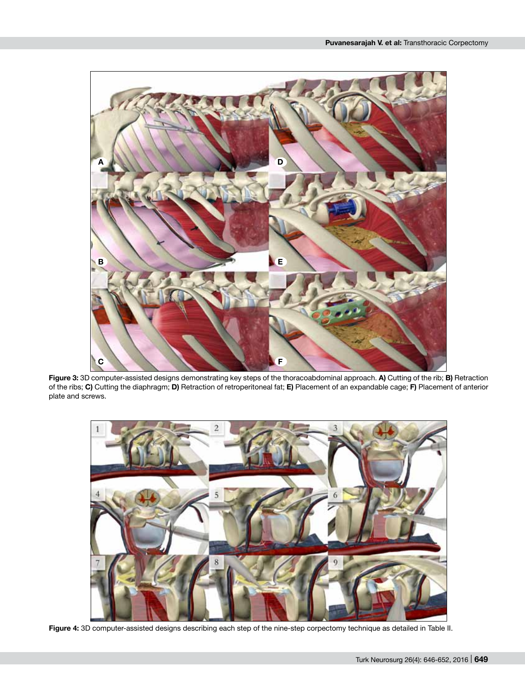

**Figure 3:** 3D computer-assisted designs demonstrating key steps of the thoracoabdominal approach. **A)** Cutting of the rib; **B)** Retraction of the ribs; **C)** Cutting the diaphragm; **D)** Retraction of retroperitoneal fat; **E)** Placement of an expandable cage; **F)** Placement of anterior plate and screws.



**Figure 4:** 3D computer-assisted designs describing each step of the nine-step corpectomy technique as detailed in Table II.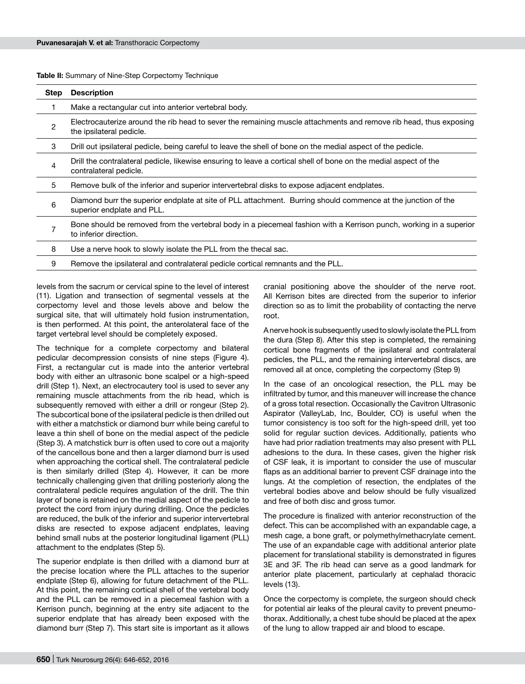**Table II:** Summary of Nine-Step Corpectomy Technique

| Step           | <b>Description</b>                                                                                                                            |
|----------------|-----------------------------------------------------------------------------------------------------------------------------------------------|
|                | Make a rectangular cut into anterior vertebral body.                                                                                          |
| $\overline{c}$ | Electrocauterize around the rib head to sever the remaining muscle attachments and remove rib head, thus exposing<br>the ipsilateral pedicle. |
| 3              | Drill out ipsilateral pedicle, being careful to leave the shell of bone on the medial aspect of the pedicle.                                  |
| 4              | Drill the contralateral pedicle, likewise ensuring to leave a cortical shell of bone on the medial aspect of the<br>contralateral pedicle.    |
| 5              | Remove bulk of the inferior and superior intervertebral disks to expose adjacent endplates.                                                   |
| 6              | Diamond burr the superior endplate at site of PLL attachment. Burring should commence at the junction of the<br>superior endplate and PLL.    |
|                | Bone should be removed from the vertebral body in a piecemeal fashion with a Kerrison punch, working in a superior<br>to inferior direction.  |
| 8              | Use a nerve hook to slowly isolate the PLL from the thecal sac.                                                                               |
| 9              | Remove the ipsilateral and contralateral pedicle cortical remnants and the PLL.                                                               |
|                |                                                                                                                                               |

levels from the sacrum or cervical spine to the level of interest (11). Ligation and transection of segmental vessels at the corpectomy level and those levels above and below the surgical site, that will ultimately hold fusion instrumentation, is then performed. At this point, the anterolateral face of the target vertebral level should be completely exposed.

The technique for a complete corpectomy and bilateral pedicular decompression consists of nine steps (Figure 4). First, a rectangular cut is made into the anterior vertebral body with either an ultrasonic bone scalpel or a high-speed drill (Step 1). Next, an electrocautery tool is used to sever any remaining muscle attachments from the rib head, which is subsequently removed with either a drill or rongeur (Step 2). The subcortical bone of the ipsilateral pedicle is then drilled out with either a matchstick or diamond burr while being careful to leave a thin shell of bone on the medial aspect of the pedicle (Step 3). A matchstick burr is often used to core out a majority of the cancellous bone and then a larger diamond burr is used when approaching the cortical shell. The contralateral pedicle is then similarly drilled (Step 4). However, it can be more technically challenging given that drilling posteriorly along the contralateral pedicle requires angulation of the drill. The thin layer of bone is retained on the medial aspect of the pedicle to protect the cord from injury during drilling. Once the pedicles are reduced, the bulk of the inferior and superior intervertebral disks are resected to expose adjacent endplates, leaving behind small nubs at the posterior longitudinal ligament (PLL) attachment to the endplates (Step 5).

The superior endplate is then drilled with a diamond burr at the precise location where the PLL attaches to the superior endplate (Step 6), allowing for future detachment of the PLL. At this point, the remaining cortical shell of the vertebral body and the PLL can be removed in a piecemeal fashion with a Kerrison punch, beginning at the entry site adjacent to the superior endplate that has already been exposed with the diamond burr (Step 7). This start site is important as it allows

cranial positioning above the shoulder of the nerve root. All Kerrison bites are directed from the superior to inferior direction so as to limit the probability of contacting the nerve root.

A nerve hook is subsequently used to slowly isolate the PLL from the dura (Step 8). After this step is completed, the remaining cortical bone fragments of the ipsilateral and contralateral pedicles, the PLL, and the remaining intervertebral discs, are removed all at once, completing the corpectomy (Step 9)

In the case of an oncological resection, the PLL may be infiltrated by tumor, and this maneuver will increase the chance of a gross total resection. Occasionally the Cavitron Ultrasonic Aspirator (ValleyLab, Inc, Boulder, CO) is useful when the tumor consistency is too soft for the high-speed drill, yet too solid for regular suction devices. Additionally, patients who have had prior radiation treatments may also present with PLL adhesions to the dura. In these cases, given the higher risk of CSF leak, it is important to consider the use of muscular flaps as an additional barrier to prevent CSF drainage into the lungs. At the completion of resection, the endplates of the vertebral bodies above and below should be fully visualized and free of both disc and gross tumor.

The procedure is finalized with anterior reconstruction of the defect. This can be accomplished with an expandable cage, a mesh cage, a bone graft, or polymethylmethacrylate cement. The use of an expandable cage with additional anterior plate placement for translational stability is demonstrated in figures 3E and 3F. The rib head can serve as a good landmark for anterior plate placement, particularly at cephalad thoracic levels (13).

Once the corpectomy is complete, the surgeon should check for potential air leaks of the pleural cavity to prevent pneumothorax. Additionally, a chest tube should be placed at the apex of the lung to allow trapped air and blood to escape.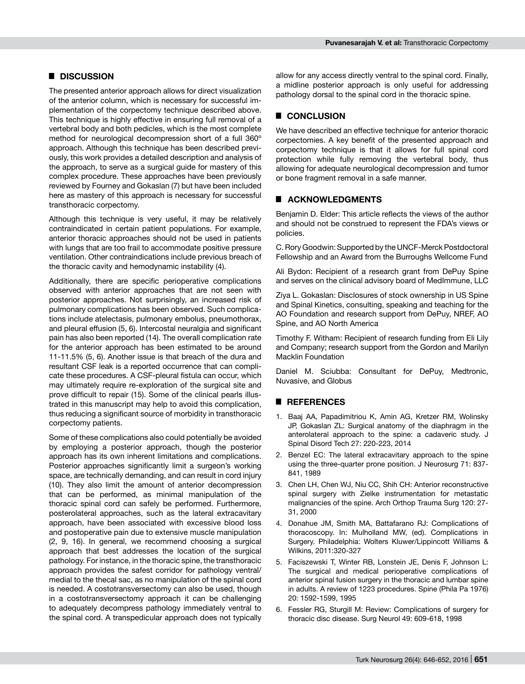# █ **DISCUSSION**

The presented anterior approach allows for direct visualization of the anterior column, which is necessary for successful implementation of the corpectomy technique described above. This technique is highly effective in ensuring full removal of a vertebral body and both pedicles, which is the most complete method for neurological decompression short of a full 360º approach. Although this technique has been described previously, this work provides a detailed description and analysis of the approach, to serve as a surgical guide for mastery of this complex procedure. These approaches have been previously reviewed by Fourney and Gokaslan (7) but have been included here as mastery of this approach is necessary for successful transthoracic corpectomy.

Although this technique is very useful, it may be relatively contraindicated in certain patient populations. For example, anterior thoracic approaches should not be used in patients with lungs that are too frail to accommodate positive pressure ventilation. Other contraindications include previous breach of the thoracic cavity and hemodynamic instability (4).

Additionally, there are specific perioperative complications observed with anterior approaches that are not seen with posterior approaches. Not surprisingly, an increased risk of pulmonary complications has been observed. Such complications include atelectasis, pulmonary embolus, pneumothorax, and pleural effusion (5, 6). Intercostal neuralgia and significant pain has also been reported (14). The overall complication rate for the anterior approach has been estimated to be around 11-11.5% (5, 6). Another issue is that breach of the dura and resultant CSF leak is a reported occurrence that can complicate these procedures. A CSF-pleural fistula can occur, which may ultimately require re-exploration of the surgical site and prove difficult to repair (15). Some of the clinical pearls illustrated in this manuscript may help to avoid this complication, thus reducing a significant source of morbidity in transthoracic corpectomy patients.

Some of these complications also could potentially be avoided by employing a posterior approach, though the posterior approach has its own inherent limitations and complications. Posterior approaches significantly limit a surgeon's working space, are technically demanding, and can result in cord injury (10). They also limit the amount of anterior decompression that can be performed, as minimal manipulation of the thoracic spinal cord can safely be performed. Furthermore, posterolateral approaches, such as the lateral extracavitary approach, have been associated with excessive blood loss and postoperative pain due to extensive muscle manipulation (2, 9, 16). In general, we recommend choosing a surgical approach that best addresses the location of the surgical pathology. For instance, in the thoracic spine, the transthoracic approach provides the safest corridor for pathology ventral/ medial to the thecal sac, as no manipulation of the spinal cord is needed. A costotransversectomy can also be used, though in a costotransversectomy approach it can be challenging to adequately decompress pathology immediately ventral to the spinal cord. A transpedicular approach does not typically allow for any access directly ventral to the spinal cord. Finally, a midline posterior approach is only useful for addressing pathology dorsal to the spinal cord in the thoracic spine.

# █ **CONCLUSION**

We have described an effective technique for anterior thoracic corpectomies. A key benefit of the presented approach and corpectomy technique is that it allows for full spinal cord protection while fully removing the vertebral body, thus allowing for adequate neurological decompression and tumor or bone fragment removal in a safe manner.

## █ **Acknowledgments**

Benjamin D. Elder: This article reflects the views of the author and should not be construed to represent the FDA's views or policies.

C. Rory Goodwin: Supported by the UNCF-Merck Postdoctoral Fellowship and an Award from the Burroughs Wellcome Fund

Ali Bydon: Recipient of a research grant from DePuy Spine and serves on the clinical advisory board of MedImmune, LLC

Ziya L. Gokaslan: Disclosures of stock ownership in US Spine and Spinal Kinetics, consulting, speaking and teaching for the AO Foundation and research support from DePuy, NREF, AO Spine, and AO North America

Timothy F. Witham: Recipient of research funding from Eli Lily and Company; research support from the Gordon and Marilyn Macklin Foundation

Daniel M. Sciubba: Consultant for DePuy, Medtronic, Nuvasive, and Globus

## █ **REFERENCES**

- 1. Baaj AA, Papadimitriou K, Amin AG, Kretzer RM, Wolinsky JP, Gokaslan ZL: Surgical anatomy of the diaphragm in the anterolateral approach to the spine: a cadaveric study. J Spinal Disord Tech 27: 220-223, 2014
- 2. Benzel EC: The lateral extracavitary approach to the spine using the three-quarter prone position. J Neurosurg 71: 837- 841, 1989
- 3. Chen LH, Chen WJ, Niu CC, Shih CH: Anterior reconstructive spinal surgery with Zielke instrumentation for metastatic malignancies of the spine. Arch Orthop Trauma Surg 120: 27- 31, 2000
- 4. Donahue JM, Smith MA, Battafarano RJ: Complications of thoracoscopy. In: Mulholland MW, (ed). Complications in Surgery. Philadelphia: Wolters Kluwer/Lippincott Williams & Wilkins, 2011:320-327
- 5. Faciszewski T, Winter RB, Lonstein JE, Denis F, Johnson L: The surgical and medical perioperative complications of anterior spinal fusion surgery in the thoracic and lumbar spine in adults. A review of 1223 procedures. Spine (Phila Pa 1976) 20: 1592-1599, 1995
- 6. Fessler RG, Sturgill M: Review: Complications of surgery for thoracic disc disease. Surg Neurol 49: 609-618, 1998